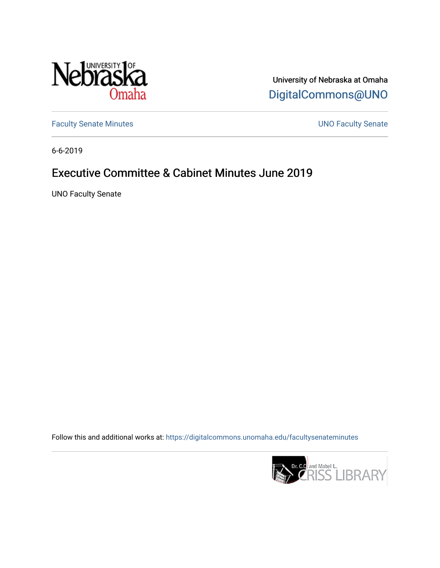

University of Nebraska at Omaha [DigitalCommons@UNO](https://digitalcommons.unomaha.edu/) 

[Faculty Senate Minutes](https://digitalcommons.unomaha.edu/facultysenateminutes) **Exercise Senate UNO Faculty Senate** 

6-6-2019

# Executive Committee & Cabinet Minutes June 2019

UNO Faculty Senate

Follow this and additional works at: [https://digitalcommons.unomaha.edu/facultysenateminutes](https://digitalcommons.unomaha.edu/facultysenateminutes?utm_source=digitalcommons.unomaha.edu%2Ffacultysenateminutes%2F132&utm_medium=PDF&utm_campaign=PDFCoverPages) 

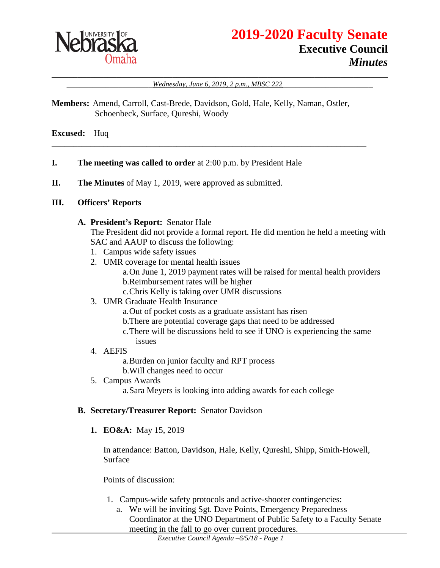

# **2019-2020 Faculty Senate Executive Council** *Minutes*

#### \_\_\_\_\_\_\_\_\_\_\_\_\_\_\_\_\_\_\_\_\_\_\_\_\_\_\_\_\_\_\_\_\_\_\_\_\_\_\_\_\_\_\_\_\_\_\_\_\_\_\_\_\_\_\_\_\_\_\_\_\_\_\_\_\_\_\_\_\_\_\_\_\_\_\_\_\_\_ Wednesday, June 6, 2019, 2 p.m., MBSC 222

**Members:** Amend, Carroll, Cast-Brede, Davidson, Gold, Hale, Kelly, Naman, Ostler, Schoenbeck, Surface, Qureshi, Woody

\_\_\_\_\_\_\_\_\_\_\_\_\_\_\_\_\_\_\_\_\_\_\_\_\_\_\_\_\_\_\_\_\_\_\_\_\_\_\_\_\_\_\_\_\_\_\_\_\_\_\_\_\_\_\_\_\_\_\_\_\_\_\_\_\_\_\_\_\_\_\_\_\_

**Excused:** Huq

- **I. The meeting was called to order** at 2:00 p.m. by President Hale
- **II. The Minutes** of May 1, 2019, were approved as submitted.

#### **III. Officers' Reports**

#### **A. President's Report:** Senator Hale

The President did not provide a formal report. He did mention he held a meeting with SAC and AAUP to discuss the following:

- 1. Campus wide safety issues
- 2. UMR coverage for mental health issues

a.On June 1, 2019 payment rates will be raised for mental health providers b.Reimbursement rates will be higher

- c.Chris Kelly is taking over UMR discussions
- 3. UMR Graduate Health Insurance
	- a.Out of pocket costs as a graduate assistant has risen
	- b.There are potential coverage gaps that need to be addressed
	- c.There will be discussions held to see if UNO is experiencing the same
	- issues
- 4. AEFIS

a.Burden on junior faculty and RPT process

- b.Will changes need to occur
- 5. Campus Awards a.Sara Meyers is looking into adding awards for each college

# **B. Secretary/Treasurer Report:** Senator Davidson

**1. EO&A:** May 15, 2019

In attendance: Batton, Davidson, Hale, Kelly, Qureshi, Shipp, Smith-Howell, Surface

Points of discussion:

- 1. Campus-wide safety protocols and active-shooter contingencies:
	- a. We will be inviting Sgt. Dave Points, Emergency Preparedness Coordinator at the UNO Department of Public Safety to a Faculty Senate meeting in the fall to go over current procedures.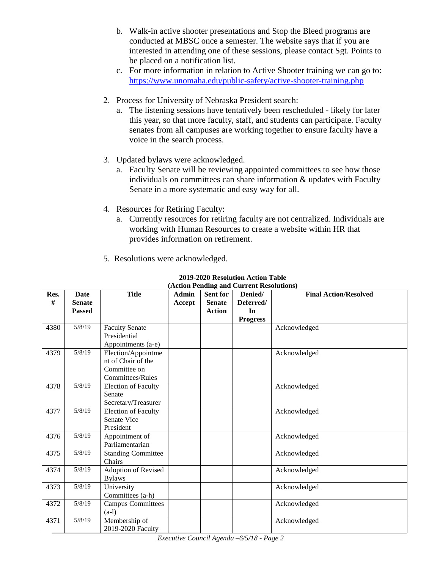- b. Walk-in active shooter presentations and Stop the Bleed programs are conducted at MBSC once a semester. The website says that if you are interested in attending one of these sessions, please contact Sgt. Points to be placed on a notification list.
- c. For more information in relation to Active Shooter training we can go to: <https://www.unomaha.edu/public-safety/active-shooter-training.php>
- 2. Process for University of Nebraska President search:
	- a. The listening sessions have tentatively been rescheduled likely for later this year, so that more faculty, staff, and students can participate. Faculty senates from all campuses are working together to ensure faculty have a voice in the search process.
- 3. Updated bylaws were acknowledged.
	- a. Faculty Senate will be reviewing appointed committees to see how those individuals on committees can share information & updates with Faculty Senate in a more systematic and easy way for all.
- 4. Resources for Retiring Faculty:
	- a. Currently resources for retiring faculty are not centralized. Individuals are working with Human Resources to create a website within HR that provides information on retirement.

|  | 5. Resolutions were acknowledged. |  |  |  |
|--|-----------------------------------|--|--|--|
|--|-----------------------------------|--|--|--|

| Res. | Date          | <b>Title</b>                                                | Admin  | Sent for      | $(ACD)$ is equiling and $C$ and $BCD$ in $(ACD)$<br>Denied/ | <b>Final Action/Resolved</b> |
|------|---------------|-------------------------------------------------------------|--------|---------------|-------------------------------------------------------------|------------------------------|
| #    | <b>Senate</b> |                                                             | Accept | <b>Senate</b> | Deferred/                                                   |                              |
|      | <b>Passed</b> |                                                             |        | <b>Action</b> | In                                                          |                              |
|      |               |                                                             |        |               | <b>Progress</b>                                             |                              |
| 4380 | 5/8/19        | <b>Faculty Senate</b><br>Presidential                       |        |               |                                                             | Acknowledged                 |
|      |               | Appointments (a-e)                                          |        |               |                                                             |                              |
| 4379 | 5/8/19        | Election/Appointme<br>nt of Chair of the<br>Committee on    |        |               |                                                             | Acknowledged                 |
|      | 5/8/19        | <b>Committees/Rules</b>                                     |        |               |                                                             |                              |
| 4378 |               | <b>Election of Faculty</b><br>Senate<br>Secretary/Treasurer |        |               |                                                             | Acknowledged                 |
| 4377 | 5/8/19        | <b>Election of Faculty</b><br>Senate Vice<br>President      |        |               |                                                             | Acknowledged                 |
| 4376 | 5/8/19        | Appointment of<br>Parliamentarian                           |        |               |                                                             | Acknowledged                 |
| 4375 | 5/8/19        | <b>Standing Committee</b><br>Chairs                         |        |               |                                                             | Acknowledged                 |
| 4374 | 5/8/19        | Adoption of Revised<br><b>Bylaws</b>                        |        |               |                                                             | Acknowledged                 |
| 4373 | 5/8/19        | University<br>Committees (a-h)                              |        |               |                                                             | Acknowledged                 |
| 4372 | 5/8/19        | <b>Campus Committees</b><br>$(a-l)$                         |        |               |                                                             | Acknowledged                 |
| 4371 | 5/8/19        | Membership of<br>2019-2020 Faculty                          |        |               |                                                             | Acknowledged                 |

#### **2019-2020 Resolution Action Table (Action Pending and Current Resolutions)**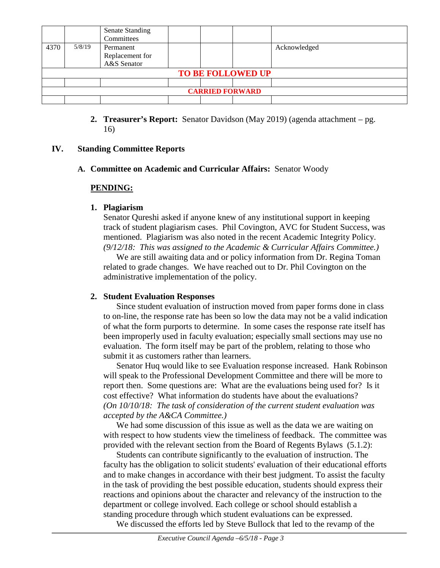|                          |        | <b>Senate Standing</b><br>Committees |  |  |  |              |
|--------------------------|--------|--------------------------------------|--|--|--|--------------|
| 4370                     | 5/8/19 | Permanent                            |  |  |  | Acknowledged |
|                          |        | Replacement for                      |  |  |  |              |
|                          |        | A&S Senator                          |  |  |  |              |
| <b>TO BE FOLLOWED UP</b> |        |                                      |  |  |  |              |
|                          |        |                                      |  |  |  |              |
| <b>CARRIED FORWARD</b>   |        |                                      |  |  |  |              |
|                          |        |                                      |  |  |  |              |

**2. Treasurer's Report:** Senator Davidson (May 2019) (agenda attachment – pg. 16)

#### **IV. Standing Committee Reports**

#### **A. Committee on Academic and Curricular Affairs:** Senator Woody

#### **PENDING:**

#### **1. Plagiarism**

Senator Qureshi asked if anyone knew of any institutional support in keeping track of student plagiarism cases. Phil Covington, AVC for Student Success, was mentioned. Plagiarism was also noted in the recent Academic Integrity Policy. *(9/12/18: This was assigned to the Academic & Curricular Affairs Committee.)* 

We are still awaiting data and or policy information from Dr. Regina Toman related to grade changes. We have reached out to Dr. Phil Covington on the administrative implementation of the policy.

#### **2. Student Evaluation Responses**

Since student evaluation of instruction moved from paper forms done in class to on-line, the response rate has been so low the data may not be a valid indication of what the form purports to determine. In some cases the response rate itself has been improperly used in faculty evaluation; especially small sections may use no evaluation. The form itself may be part of the problem, relating to those who submit it as customers rather than learners.

Senator Huq would like to see Evaluation response increased. Hank Robinson will speak to the Professional Development Committee and there will be more to report then. Some questions are: What are the evaluations being used for? Is it cost effective? What information do students have about the evaluations? *(On 10/10/18: The task of consideration of the current student evaluation was accepted by the A&CA Committee.)*

We had some discussion of this issue as well as the data we are waiting on with respect to how students view the timeliness of feedback. The committee was provided with the relevant section from the Board of Regents Bylaws (5.1.2):

Students can contribute significantly to the evaluation of instruction. The faculty has the obligation to solicit students' evaluation of their educational efforts and to make changes in accordance with their best judgment. To assist the faculty in the task of providing the best possible education, students should express their reactions and opinions about the character and relevancy of the instruction to the department or college involved. Each college or school should establish a standing procedure through which student evaluations can be expressed.

We discussed the efforts led by Steve Bullock that led to the revamp of the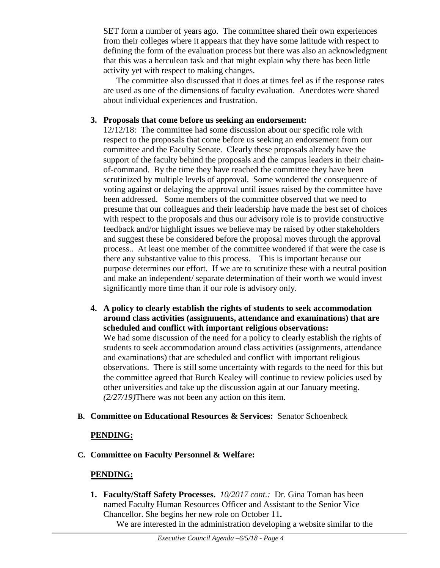SET form a number of years ago. The committee shared their own experiences from their colleges where it appears that they have some latitude with respect to defining the form of the evaluation process but there was also an acknowledgment that this was a herculean task and that might explain why there has been little activity yet with respect to making changes.

The committee also discussed that it does at times feel as if the response rates are used as one of the dimensions of faculty evaluation. Anecdotes were shared about individual experiences and frustration.

### **3. Proposals that come before us seeking an endorsement:**

12/12/18: The committee had some discussion about our specific role with respect to the proposals that come before us seeking an endorsement from our committee and the Faculty Senate. Clearly these proposals already have the support of the faculty behind the proposals and the campus leaders in their chainof-command. By the time they have reached the committee they have been scrutinized by multiple levels of approval. Some wondered the consequence of voting against or delaying the approval until issues raised by the committee have been addressed. Some members of the committee observed that we need to presume that our colleagues and their leadership have made the best set of choices with respect to the proposals and thus our advisory role is to provide constructive feedback and/or highlight issues we believe may be raised by other stakeholders and suggest these be considered before the proposal moves through the approval process.. At least one member of the committee wondered if that were the case is there any substantive value to this process. This is important because our purpose determines our effort. If we are to scrutinize these with a neutral position and make an independent/ separate determination of their worth we would invest significantly more time than if our role is advisory only.

**4. A policy to clearly establish the rights of students to seek accommodation around class activities (assignments, attendance and examinations) that are scheduled and conflict with important religious observations:** We had some discussion of the need for a policy to clearly establish the rights of students to seek accommodation around class activities (assignments, attendance and examinations) that are scheduled and conflict with important religious observations. There is still some uncertainty with regards to the need for this but the committee agreed that Burch Kealey will continue to review policies used by other universities and take up the discussion again at our January meeting. *(2/27/19)*There was not been any action on this item.

# **B. Committee on Educational Resources & Services:** Senator Schoenbeck

# **PENDING:**

**C. Committee on Faculty Personnel & Welfare:** 

# **PENDING:**

**1. Faculty/Staff Safety Processes.** *10/2017 cont.:* Dr. Gina Toman has been named Faculty Human Resources Officer and Assistant to the Senior Vice Chancellor. She begins her new role on October 11**.**

We are interested in the administration developing a website similar to the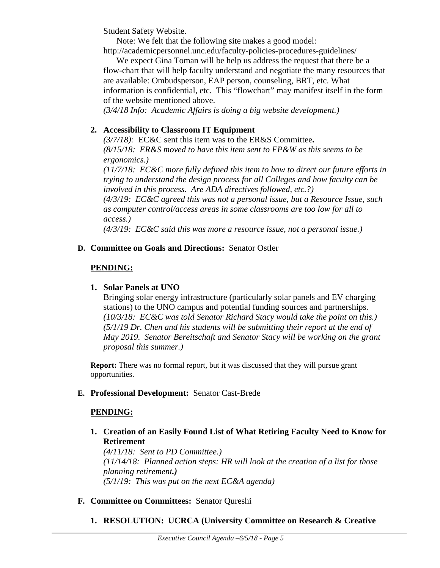Student Safety Website.

Note: We felt that the following site makes a good model:

http://academicpersonnel.unc.edu/faculty-policies-procedures-guidelines/

We expect Gina Toman will be help us address the request that there be a flow-chart that will help faculty understand and negotiate the many resources that are available: Ombudsperson, EAP person, counseling, BRT, etc. What information is confidential, etc. This "flowchart" may manifest itself in the form of the website mentioned above.

*(3/4/18 Info: Academic Affairs is doing a big website development.)*

# **2. Accessibility to Classroom IT Equipment**

*(3/7/18):* EC&C sent this item was to the ER&S Committee**.**  *(8/15/18: ER&S moved to have this item sent to FP&W as this seems to be ergonomics.)* 

*(11/7/18: EC&C more fully defined this item to how to direct our future efforts in trying to understand the design process for all Colleges and how faculty can be involved in this process. Are ADA directives followed, etc.?)* 

*(4/3/19: EC&C agreed this was not a personal issue, but a Resource Issue, such as computer control/access areas in some classrooms are too low for all to access.)*

*(4/3/19: EC&C said this was more a resource issue, not a personal issue.)* 

# **D. Committee on Goals and Directions:** Senator Ostler

# **PENDING:**

## **1. Solar Panels at UNO**

Bringing solar energy infrastructure (particularly solar panels and EV charging stations) to the UNO campus and potential funding sources and partnerships. *(10/3/18: EC&C was told Senator Richard Stacy would take the point on this.) (5/1/19 Dr. Chen and his students will be submitting their report at the end of May 2019. Senator Bereitschaft and Senator Stacy will be working on the grant proposal this summer.)*

**Report:** There was no formal report, but it was discussed that they will pursue grant opportunities.

# **E. Professional Development:** Senator Cast-Brede

#### **PENDING:**

**1. Creation of an Easily Found List of What Retiring Faculty Need to Know for Retirement**

*(4/11/18: Sent to PD Committee.) (11/14/18: Planned action steps: HR will look at the creation of a list for those planning retirement.) (5/1/19: This was put on the next EC&A agenda)*

# **F. Committee on Committees:** Senator Qureshi

**1. RESOLUTION: UCRCA (University Committee on Research & Creative**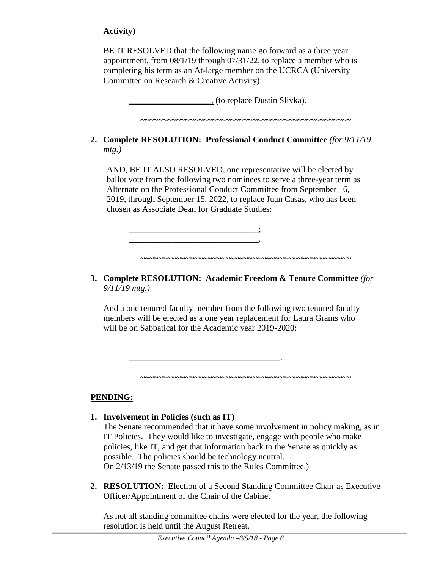# **Activity)**

BE IT RESOLVED that the following name go forward as a three year appointment, from 08/1/19 through 07/31/22, to replace a member who is completing his term as an At-large member on the UCRCA (University Committee on Research & Creative Activity):

\_\_\_\_\_\_\_\_\_\_\_\_\_\_\_\_\_\_\_, (to replace Dustin Slivka).

**~~~~~~~~~~~~~~~~~~~~~~~~~~~~~~~~~~~~~~~~~~~~~~~**

**2. Complete RESOLUTION: Professional Conduct Committee** *(for 9/11/19 mtg.)*

AND, BE IT ALSO RESOLVED, one representative will be elected by ballot vote from the following two nominees to serve a three-year term as Alternate on the Professional Conduct Committee from September 16, 2019, through September 15, 2022, to replace Juan Casas, who has been chosen as Associate Dean for Graduate Studies:

**3. Complete RESOLUTION: Academic Freedom & Tenure Committee** *(for 9/11/19 mtg.)*

**~~~~~~~~~~~~~~~~~~~~~~~~~~~~~~~~~~~~~~~~~~~~~~~**

\_\_\_\_\_\_\_\_\_\_\_\_\_\_\_\_\_\_\_\_\_\_\_\_\_\_\_\_\_\_;  $\mathcal{L}=\mathcal{L}^{\mathcal{L}}$ 

\_\_\_\_\_\_\_\_\_\_\_\_\_\_\_\_\_\_\_\_\_\_\_\_\_\_\_\_\_\_\_\_\_\_\_ \_\_\_\_\_\_\_\_\_\_\_\_\_\_\_\_\_\_\_\_\_\_\_\_\_\_\_\_\_\_\_\_\_\_\_.

And a one tenured faculty member from the following two tenured faculty members will be elected as a one year replacement for Laura Grams who will be on Sabbatical for the Academic year 2019-2020:

**PENDING:**

**1. Involvement in Policies (such as IT)**

The Senate recommended that it have some involvement in policy making, as in IT Policies. They would like to investigate, engage with people who make policies, like IT, and get that information back to the Senate as quickly as possible. The policies should be technology neutral. On 2/13/19 the Senate passed this to the Rules Committee.)

**~~~~~~~~~~~~~~~~~~~~~~~~~~~~~~~~~~~~~~~~~~~~~~~**

**2. RESOLUTION:** Election of a Second Standing Committee Chair as Executive Officer/Appointment of the Chair of the Cabinet

As not all standing committee chairs were elected for the year, the following resolution is held until the August Retreat.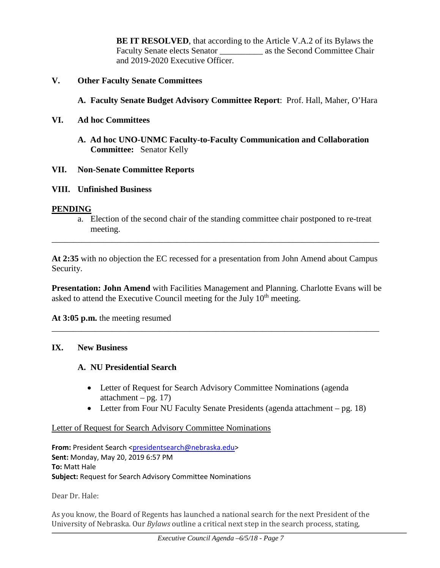**BE IT RESOLVED**, that according to the Article V.A.2 of its Bylaws the Faculty Senate elects Senator \_\_\_\_\_\_\_\_\_\_\_\_\_ as the Second Committee Chair and 2019-2020 Executive Officer.

#### **V. Other Faculty Senate Committees**

- **A. Faculty Senate Budget Advisory Committee Report**: Prof. Hall, Maher, O'Hara
- **VI. Ad hoc Committees**
	- **A. Ad hoc UNO-UNMC Faculty-to-Faculty Communication and Collaboration Committee:** Senator Kelly

### **VII. Non-Senate Committee Reports**

### **VIII. Unfinished Business**

#### **PENDING**

a. Election of the second chair of the standing committee chair postponed to re-treat meeting.

**At 2:35** with no objection the EC recessed for a presentation from John Amend about Campus Security.

\_\_\_\_\_\_\_\_\_\_\_\_\_\_\_\_\_\_\_\_\_\_\_\_\_\_\_\_\_\_\_\_\_\_\_\_\_\_\_\_\_\_\_\_\_\_\_\_\_\_\_\_\_\_\_\_\_\_\_\_\_\_\_\_\_\_\_\_\_\_\_\_\_\_\_\_

**Presentation: John Amend** with Facilities Management and Planning. Charlotte Evans will be asked to attend the Executive Council meeting for the July  $10<sup>th</sup>$  meeting.

\_\_\_\_\_\_\_\_\_\_\_\_\_\_\_\_\_\_\_\_\_\_\_\_\_\_\_\_\_\_\_\_\_\_\_\_\_\_\_\_\_\_\_\_\_\_\_\_\_\_\_\_\_\_\_\_\_\_\_\_\_\_\_\_\_\_\_\_\_\_\_\_\_\_\_\_

**At 3:05 p.m.** the meeting resumed

#### **IX. New Business**

# **A. NU Presidential Search**

- Letter of Request for Search Advisory Committee Nominations (agenda) attachment – pg.  $17)$
- Letter from Four NU Faculty Senate Presidents (agenda attachment pg. 18)

#### Letter of Request for Search Advisory Committee Nominations

From: President Search [<presidentsearch@nebraska.edu>](mailto:presidentsearch@nebraska.edu) **Sent:** Monday, May 20, 2019 6:57 PM **To:** Matt Hale **Subject:** Request for Search Advisory Committee Nominations

Dear Dr. Hale:

As you know, the Board of Regents has launched a national search for the next President of the University of Nebraska. Our *Bylaws* outline a critical next step in the search process, stating,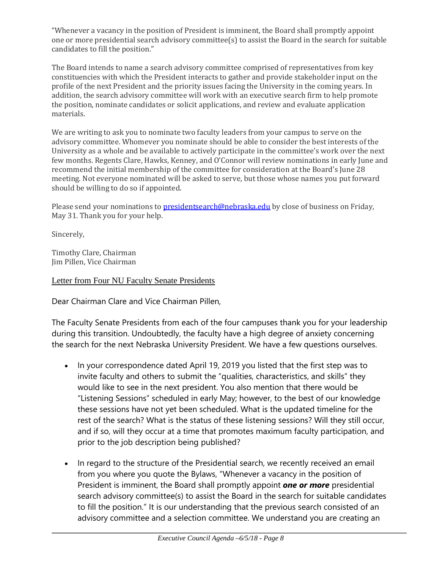"Whenever a vacancy in the position of President is imminent, the Board shall promptly appoint one or more presidential search advisory committee(s) to assist the Board in the search for suitable candidates to fill the position."

The Board intends to name a search advisory committee comprised of representatives from key constituencies with which the President interacts to gather and provide stakeholder input on the profile of the next President and the priority issues facing the University in the coming years. In addition, the search advisory committee will work with an executive search firm to help promote the position, nominate candidates or solicit applications, and review and evaluate application materials.

We are writing to ask you to nominate two faculty leaders from your campus to serve on the advisory committee. Whomever you nominate should be able to consider the best interests of the University as a whole and be available to actively participate in the committee's work over the next few months. Regents Clare, Hawks, Kenney, and O'Connor will review nominations in early June and recommend the initial membership of the committee for consideration at the Board's June 28 meeting. Not everyone nominated will be asked to serve, but those whose names you put forward should be willing to do so if appointed.

Please send your nominations to [presidentsearch@nebraska.edu](mailto:presidentsearch@nebraska.edu) by close of business on Friday, May 31. Thank you for your help.

Sincerely,

Timothy Clare, Chairman Jim Pillen, Vice Chairman

Letter from Four NU Faculty Senate Presidents

Dear Chairman Clare and Vice Chairman Pillen,

The Faculty Senate Presidents from each of the four campuses thank you for your leadership during this transition. Undoubtedly, the faculty have a high degree of anxiety concerning the search for the next Nebraska University President. We have a few questions ourselves.

- In your correspondence dated April 19, 2019 you listed that the first step was to invite faculty and others to submit the "qualities, characteristics, and skills" they would like to see in the next president. You also mention that there would be "Listening Sessions" scheduled in early May; however, to the best of our knowledge these sessions have not yet been scheduled. What is the updated timeline for the rest of the search? What is the status of these listening sessions? Will they still occur, and if so, will they occur at a time that promotes maximum faculty participation, and prior to the job description being published?
- In regard to the structure of the Presidential search, we recently received an email from you where you quote the Bylaws, "Whenever a vacancy in the position of President is imminent, the Board shall promptly appoint *one or more* presidential search advisory committee(s) to assist the Board in the search for suitable candidates to fill the position." It is our understanding that the previous search consisted of an advisory committee and a selection committee. We understand you are creating an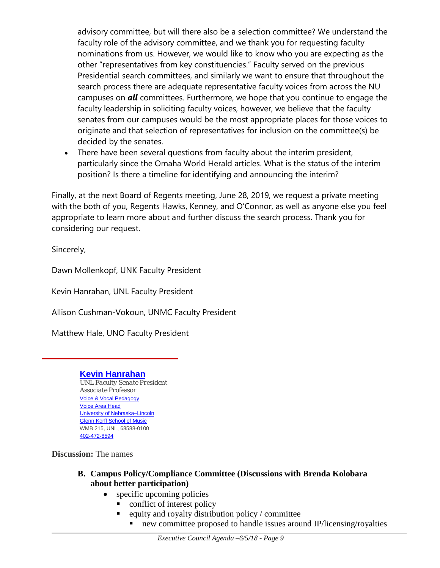advisory committee, but will there also be a selection committee? We understand the faculty role of the advisory committee, and we thank you for requesting faculty nominations from us. However, we would like to know who you are expecting as the other "representatives from key constituencies." Faculty served on the previous Presidential search committees, and similarly we want to ensure that throughout the search process there are adequate representative faculty voices from across the NU campuses on *all* committees. Furthermore, we hope that you continue to engage the faculty leadership in soliciting faculty voices, however, we believe that the faculty senates from our campuses would be the most appropriate places for those voices to originate and that selection of representatives for inclusion on the committee(s) be decided by the senates.

• There have been several questions from faculty about the interim president, particularly since the Omaha World Herald articles. What is the status of the interim position? Is there a timeline for identifying and announcing the interim?

Finally, at the next Board of Regents meeting, June 28, 2019, we request a private meeting with the both of you, Regents Hawks, Kenney, and O'Connor, as well as anyone else you feel appropriate to learn more about and further discuss the search process. Thank you for considering our request.

Sincerely,

Dawn Mollenkopf, UNK Faculty President

Kevin Hanrahan, UNL Faculty President

Allison Cushman-Vokoun, UNMC Faculty President

Matthew Hale, UNO Faculty President

# **Kevin [Hanrahan](http://arts.unl.edu/music/faculty/kevin-hanrahan)**

*UNL Faculty Senate President Associate Professor* Voice & Vocal [Pedagogy](http://arts.unl.edu/music/graduate-application-guide/ph-d-vocal-pedagogy) [Voice](http://music.unl.edu/voice/voice-area) Area Head University of [Nebraska–Lincoln](http://unl.edu/) Glenn Korff [School](http://music.unl.edu/) of Music WMB 215, UNL, 68588-0100 [402-472-8594](tel:4024728594)

**Discussion:** The names

- **B. Campus Policy/Compliance Committee (Discussions with Brenda Kolobara about better participation)**
	- specific upcoming policies
		- conflict of interest policy
		- equity and royalty distribution policy / committee
			- new committee proposed to handle issues around IP/licensing/royalties